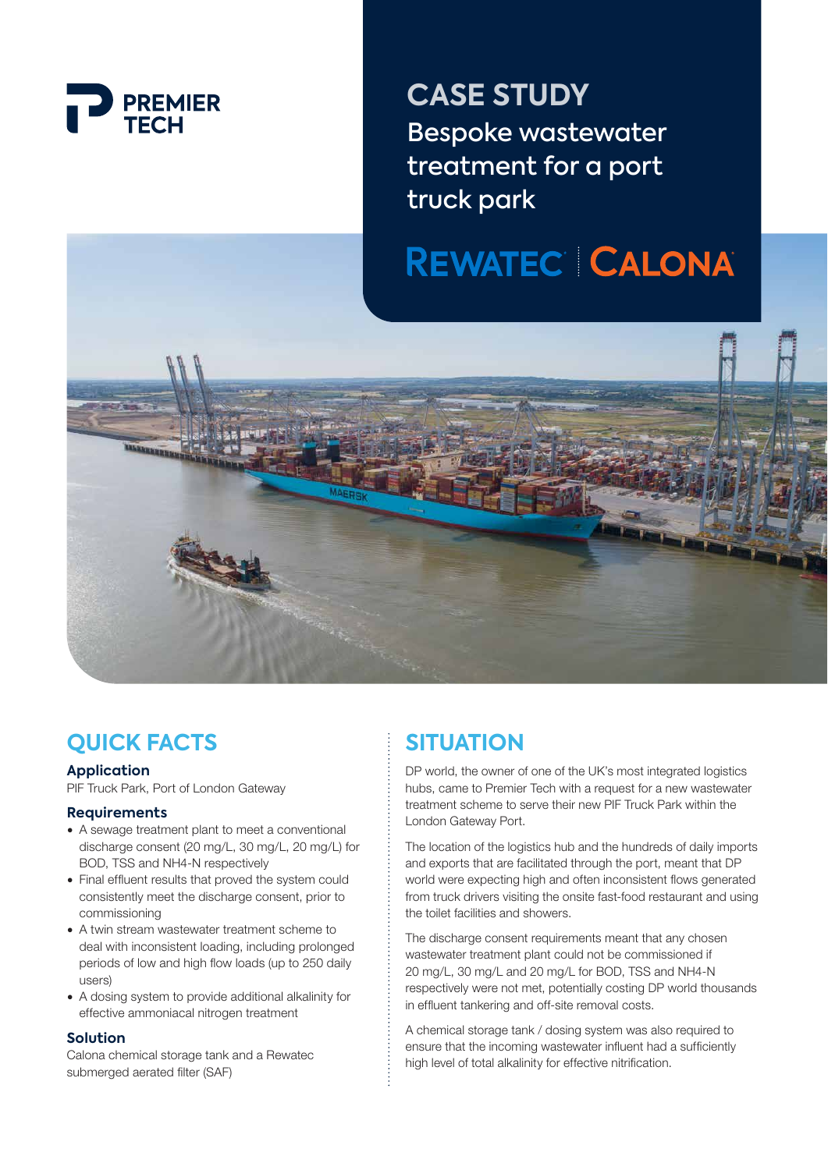

**CASE STUDY** Bespoke wastewater treatment for a port truck park

# **REWATEC CALONA**



## **QUICK FACTS**

#### **Application**

PIF Truck Park, Port of London Gateway

#### **Requirements**

- A sewage treatment plant to meet a conventional discharge consent (20 mg/L, 30 mg/L, 20 mg/L) for BOD, TSS and NH4-N respectively
- Final effluent results that proved the system could consistently meet the discharge consent, prior to commissioning
- A twin stream wastewater treatment scheme to deal with inconsistent loading, including prolonged periods of low and high flow loads (up to 250 daily users)
- A dosing system to provide additional alkalinity for effective ammoniacal nitrogen treatment

#### **Solution**

Calona chemical storage tank and a Rewatec submerged aerated filter (SAF)

## **SITUATION**

DP world, the owner of one of the UK's most integrated logistics hubs, came to Premier Tech with a request for a new wastewater treatment scheme to serve their new PIF Truck Park within the London Gateway Port.

The location of the logistics hub and the hundreds of daily imports and exports that are facilitated through the port, meant that DP world were expecting high and often inconsistent flows generated from truck drivers visiting the onsite fast-food restaurant and using the toilet facilities and showers.

The discharge consent requirements meant that any chosen wastewater treatment plant could not be commissioned if 20 mg/L, 30 mg/L and 20 mg/L for BOD, TSS and NH4-N respectively were not met, potentially costing DP world thousands in effluent tankering and off-site removal costs.

A chemical storage tank / dosing system was also required to ensure that the incoming wastewater influent had a sufficiently high level of total alkalinity for effective nitrification.